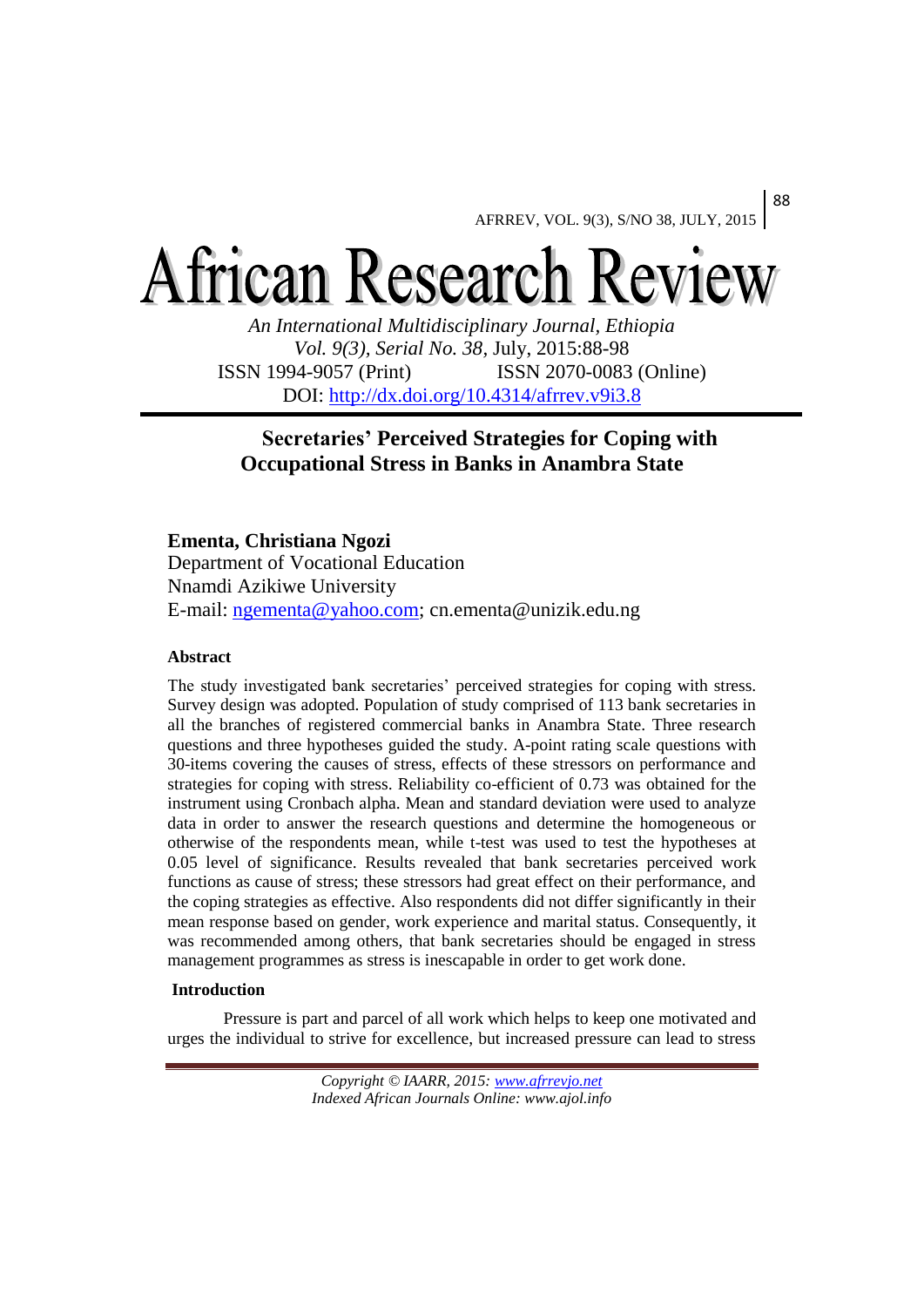AFRREV, VOL. 9(3), S/NO 38, JULY, 2015

# **African Research Review**

*An International Multidisciplinary Journal, Ethiopia Vol. 9(3), Serial No. 38,* July, 2015:88-98 ISSN 1994-9057 (Print) ISSN 2070-0083 (Online) DOI:<http://dx.doi.org/10.4314/afrrev.v9i3.8>

# **Secretaries' Perceived Strategies for Coping with Occupational Stress in Banks in Anambra State**

**Ementa, Christiana Ngozi** Department of Vocational Education Nnamdi Azikiwe University E-mail: [ngementa@yahoo.com;](mailto:ngementa@yahoo.com) cn.ementa@unizik.edu.ng

## **Abstract**

The study investigated bank secretaries' perceived strategies for coping with stress. Survey design was adopted. Population of study comprised of 113 bank secretaries in all the branches of registered commercial banks in Anambra State. Three research questions and three hypotheses guided the study. A-point rating scale questions with 30-items covering the causes of stress, effects of these stressors on performance and strategies for coping with stress. Reliability co-efficient of 0.73 was obtained for the instrument using Cronbach alpha. Mean and standard deviation were used to analyze data in order to answer the research questions and determine the homogeneous or otherwise of the respondents mean, while t-test was used to test the hypotheses at 0.05 level of significance. Results revealed that bank secretaries perceived work functions as cause of stress; these stressors had great effect on their performance, and the coping strategies as effective. Also respondents did not differ significantly in their mean response based on gender, work experience and marital status. Consequently, it was recommended among others, that bank secretaries should be engaged in stress management programmes as stress is inescapable in order to get work done.

### **Introduction**

Pressure is part and parcel of all work which helps to keep one motivated and urges the individual to strive for excellence, but increased pressure can lead to stress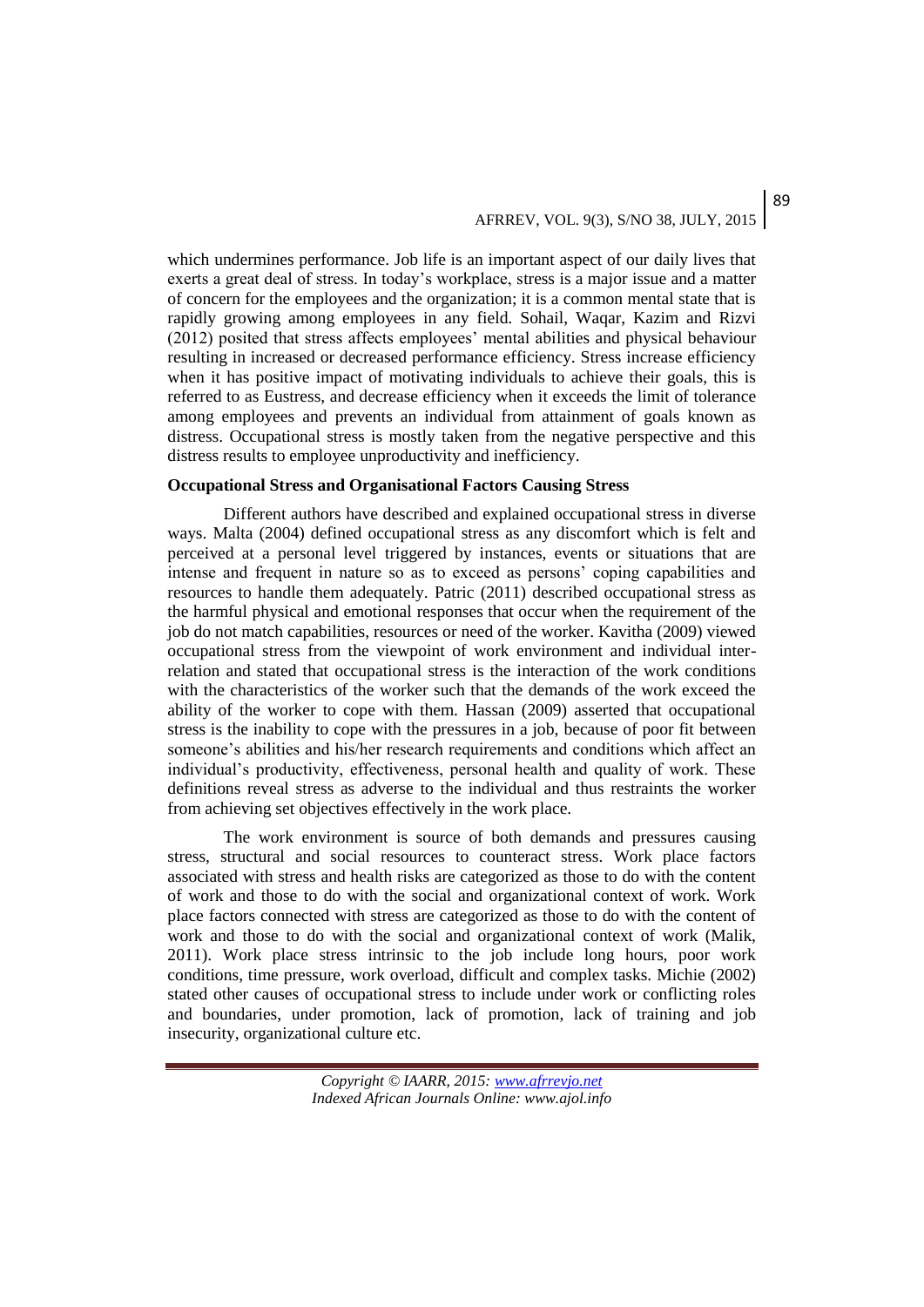# AFRREV, VOL. 9(3), S/NO 38, JULY, 2015

which undermines performance. Job life is an important aspect of our daily lives that exerts a great deal of stress. In today's workplace, stress is a major issue and a matter of concern for the employees and the organization; it is a common mental state that is rapidly growing among employees in any field. Sohail, Waqar, Kazim and Rizvi (2012) posited that stress affects employees' mental abilities and physical behaviour resulting in increased or decreased performance efficiency. Stress increase efficiency when it has positive impact of motivating individuals to achieve their goals, this is referred to as Eustress, and decrease efficiency when it exceeds the limit of tolerance among employees and prevents an individual from attainment of goals known as distress. Occupational stress is mostly taken from the negative perspective and this distress results to employee unproductivity and inefficiency.

### **Occupational Stress and Organisational Factors Causing Stress**

Different authors have described and explained occupational stress in diverse ways. Malta (2004) defined occupational stress as any discomfort which is felt and perceived at a personal level triggered by instances, events or situations that are intense and frequent in nature so as to exceed as persons' coping capabilities and resources to handle them adequately. Patric (2011) described occupational stress as the harmful physical and emotional responses that occur when the requirement of the job do not match capabilities, resources or need of the worker. Kavitha (2009) viewed occupational stress from the viewpoint of work environment and individual interrelation and stated that occupational stress is the interaction of the work conditions with the characteristics of the worker such that the demands of the work exceed the ability of the worker to cope with them. Hassan (2009) asserted that occupational stress is the inability to cope with the pressures in a job, because of poor fit between someone's abilities and his/her research requirements and conditions which affect an individual's productivity, effectiveness, personal health and quality of work. These definitions reveal stress as adverse to the individual and thus restraints the worker from achieving set objectives effectively in the work place.

The work environment is source of both demands and pressures causing stress, structural and social resources to counteract stress. Work place factors associated with stress and health risks are categorized as those to do with the content of work and those to do with the social and organizational context of work. Work place factors connected with stress are categorized as those to do with the content of work and those to do with the social and organizational context of work (Malik, 2011). Work place stress intrinsic to the job include long hours, poor work conditions, time pressure, work overload, difficult and complex tasks. Michie (2002) stated other causes of occupational stress to include under work or conflicting roles and boundaries, under promotion, lack of promotion, lack of training and job insecurity, organizational culture etc.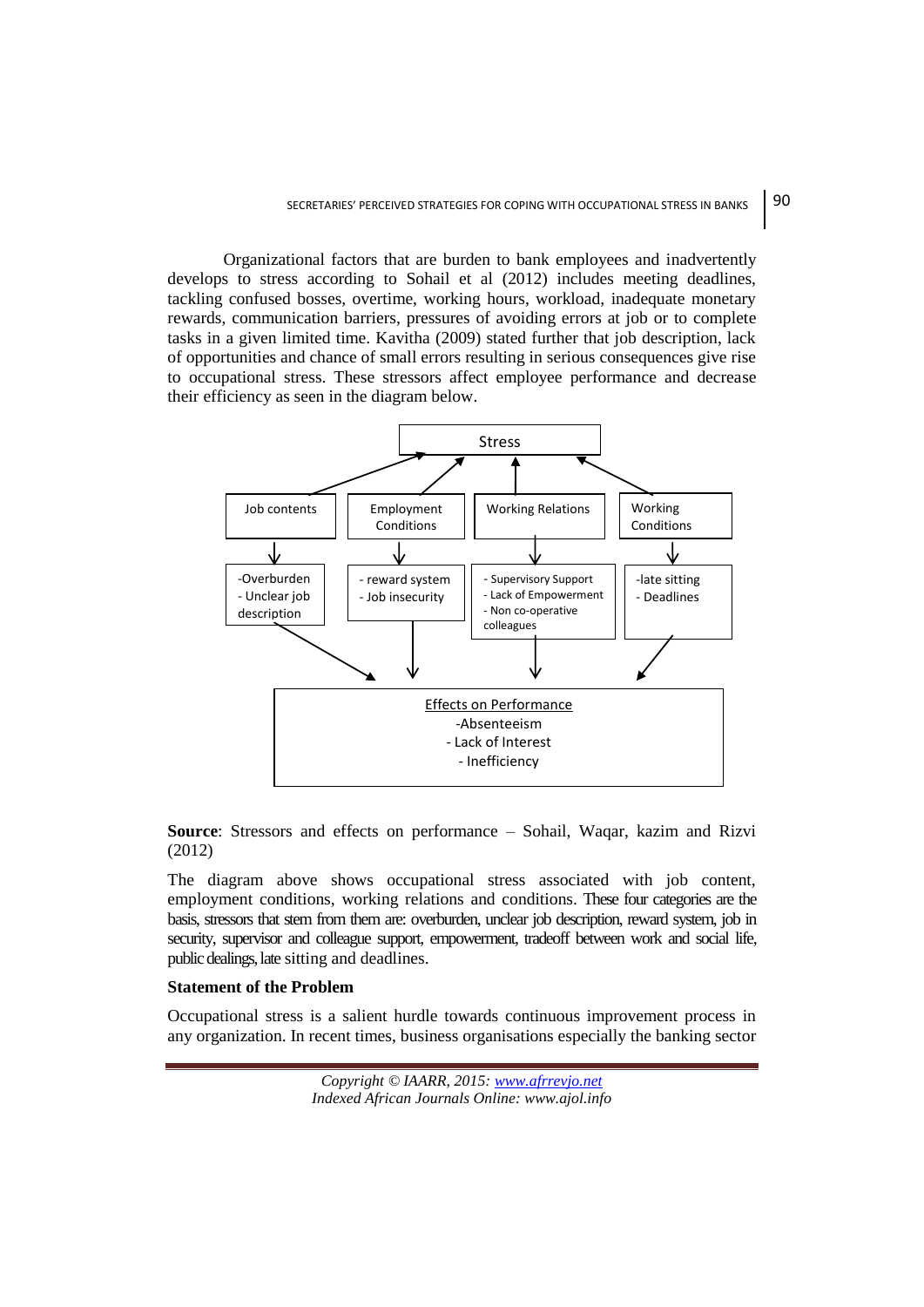Organizational factors that are burden to bank employees and inadvertently develops to stress according to Sohail et al (2012) includes meeting deadlines, tackling confused bosses, overtime, working hours, workload, inadequate monetary rewards, communication barriers, pressures of avoiding errors at job or to complete tasks in a given limited time. Kavitha (2009) stated further that job description, lack of opportunities and chance of small errors resulting in serious consequences give rise to occupational stress. These stressors affect employee performance and decrease their efficiency as seen in the diagram below.



**Source**: Stressors and effects on performance – Sohail, Waqar, kazim and Rizvi (2012)

The diagram above shows occupational stress associated with job content, employment conditions, working relations and conditions. These four categories are the basis, stressors that stem from them are: overburden, unclear job description, reward system, job in security, supervisor and colleague support, empowerment, tradeoff between work and social life, public dealings, late sitting and deadlines.

#### **Statement of the Problem**

Occupational stress is a salient hurdle towards continuous improvement process in any organization. In recent times, business organisations especially the banking sector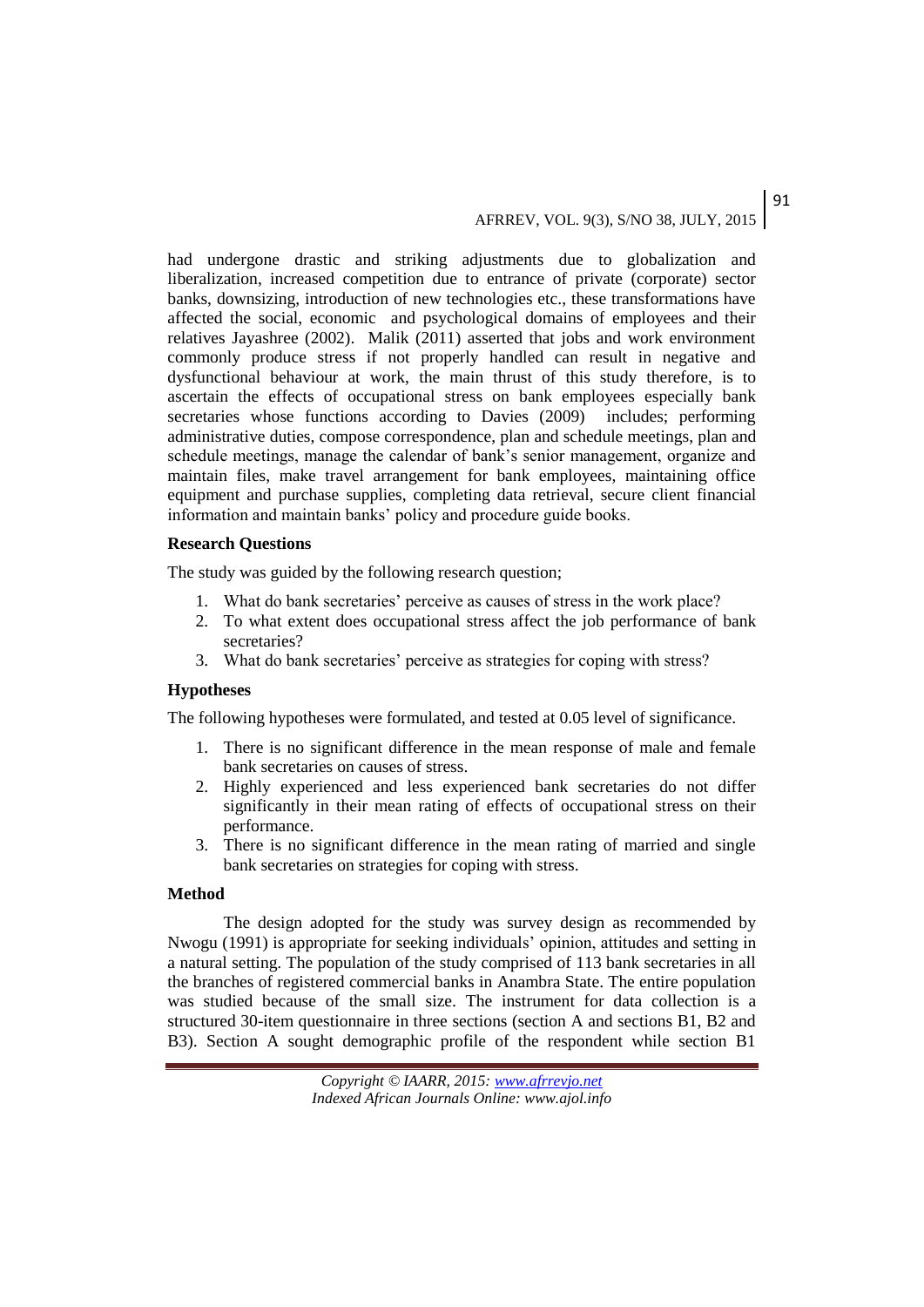# AFRREV, VOL. 9(3), S/NO 38, JULY, 2015

had undergone drastic and striking adjustments due to globalization and liberalization, increased competition due to entrance of private (corporate) sector banks, downsizing, introduction of new technologies etc., these transformations have affected the social, economic and psychological domains of employees and their relatives Jayashree (2002). Malik (2011) asserted that jobs and work environment commonly produce stress if not properly handled can result in negative and dysfunctional behaviour at work, the main thrust of this study therefore, is to ascertain the effects of occupational stress on bank employees especially bank secretaries whose functions according to Davies (2009) includes; performing administrative duties, compose correspondence, plan and schedule meetings, plan and schedule meetings, manage the calendar of bank's senior management, organize and maintain files, make travel arrangement for bank employees, maintaining office equipment and purchase supplies, completing data retrieval, secure client financial information and maintain banks' policy and procedure guide books.

### **Research Questions**

The study was guided by the following research question;

- 1. What do bank secretaries' perceive as causes of stress in the work place?
- 2. To what extent does occupational stress affect the job performance of bank secretaries?
- 3. What do bank secretaries' perceive as strategies for coping with stress?

### **Hypotheses**

The following hypotheses were formulated, and tested at 0.05 level of significance.

- 1. There is no significant difference in the mean response of male and female bank secretaries on causes of stress.
- 2. Highly experienced and less experienced bank secretaries do not differ significantly in their mean rating of effects of occupational stress on their performance.
- 3. There is no significant difference in the mean rating of married and single bank secretaries on strategies for coping with stress.

### **Method**

The design adopted for the study was survey design as recommended by Nwogu (1991) is appropriate for seeking individuals' opinion, attitudes and setting in a natural setting. The population of the study comprised of 113 bank secretaries in all the branches of registered commercial banks in Anambra State. The entire population was studied because of the small size. The instrument for data collection is a structured 30-item questionnaire in three sections (section A and sections B1, B2 and B3). Section A sought demographic profile of the respondent while section B1

91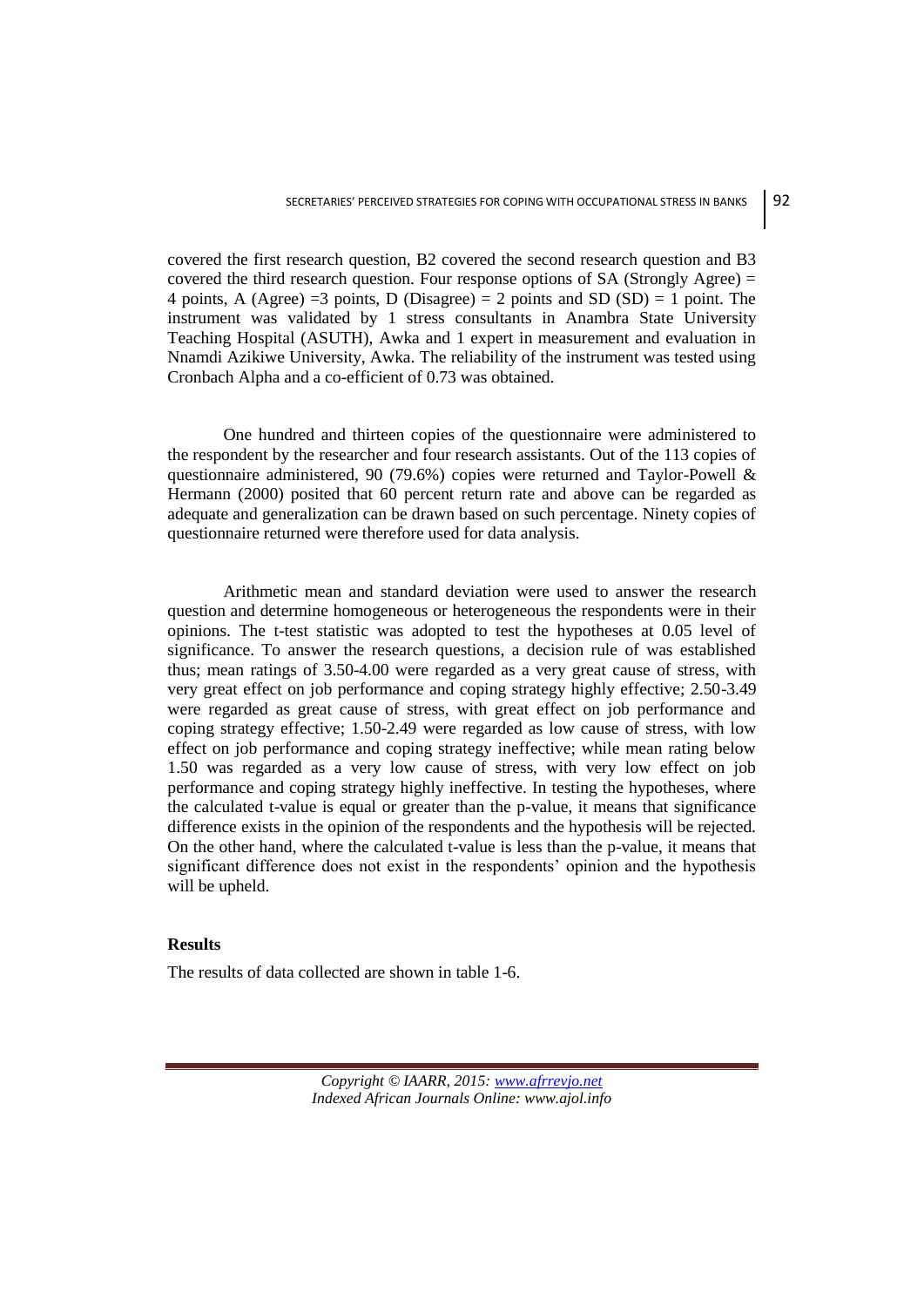covered the first research question, B2 covered the second research question and B3 covered the third research question. Four response options of SA (Strongly Agree)  $=$ 4 points, A (Agree) = 3 points, D (Disagree) = 2 points and SD (SD) = 1 point. The instrument was validated by 1 stress consultants in Anambra State University Teaching Hospital (ASUTH), Awka and 1 expert in measurement and evaluation in Nnamdi Azikiwe University, Awka. The reliability of the instrument was tested using Cronbach Alpha and a co-efficient of 0.73 was obtained.

One hundred and thirteen copies of the questionnaire were administered to the respondent by the researcher and four research assistants. Out of the 113 copies of questionnaire administered, 90 (79.6%) copies were returned and Taylor-Powell & Hermann (2000) posited that 60 percent return rate and above can be regarded as adequate and generalization can be drawn based on such percentage. Ninety copies of questionnaire returned were therefore used for data analysis.

Arithmetic mean and standard deviation were used to answer the research question and determine homogeneous or heterogeneous the respondents were in their opinions. The t-test statistic was adopted to test the hypotheses at 0.05 level of significance. To answer the research questions, a decision rule of was established thus; mean ratings of 3.50-4.00 were regarded as a very great cause of stress, with very great effect on job performance and coping strategy highly effective; 2.50-3.49 were regarded as great cause of stress, with great effect on job performance and coping strategy effective; 1.50-2.49 were regarded as low cause of stress, with low effect on job performance and coping strategy ineffective; while mean rating below 1.50 was regarded as a very low cause of stress, with very low effect on job performance and coping strategy highly ineffective. In testing the hypotheses, where the calculated t-value is equal or greater than the p-value, it means that significance difference exists in the opinion of the respondents and the hypothesis will be rejected. On the other hand, where the calculated t-value is less than the p-value, it means that significant difference does not exist in the respondents' opinion and the hypothesis will be upheld.

#### **Results**

The results of data collected are shown in table 1-6.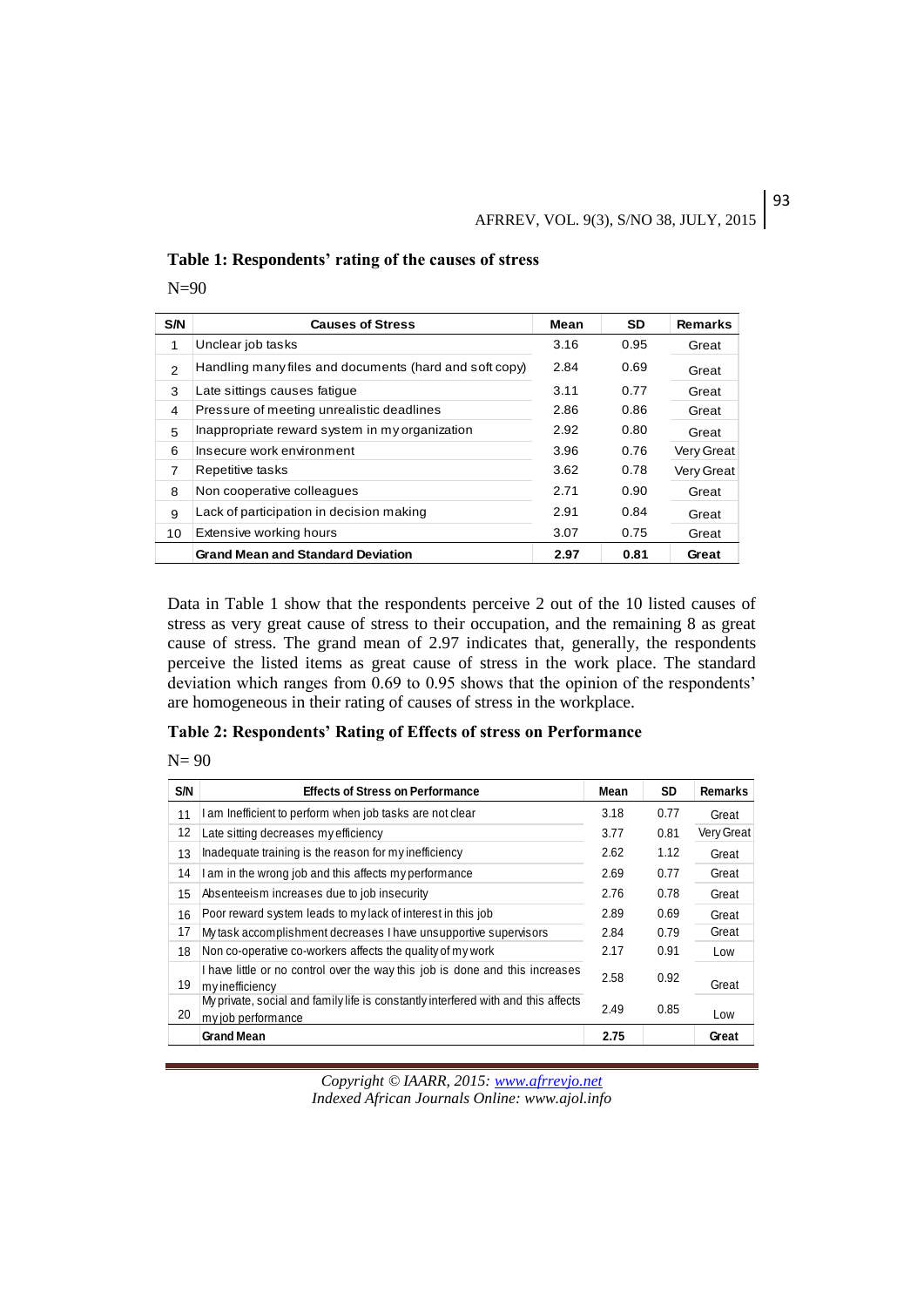93

# **Table 1: Respondents' rating of the causes of stress**

N=90

| S/N            | <b>Causes of Stress</b>                                | Mean | <b>SD</b> | <b>Remarks</b> |
|----------------|--------------------------------------------------------|------|-----------|----------------|
| 1              | Unclear job tasks                                      | 3.16 | 0.95      | Great          |
| $\overline{2}$ | Handling many files and documents (hard and soft copy) | 2.84 | 0.69      | Great          |
| 3              | Late sittings causes fatigue                           | 3.11 | 0.77      | Great          |
| 4              | Pressure of meeting unrealistic deadlines              | 2.86 | 0.86      | Great          |
| 5              | Inappropriate reward system in my organization         | 2.92 | 0.80      | Great          |
| 6              | Insecure work environment                              | 3.96 | 0.76      | Very Great     |
| $\overline{7}$ | Repetitive tasks                                       | 3.62 | 0.78      | Very Great     |
| 8              | Non cooperative colleagues                             | 2.71 | 0.90      | Great          |
| 9              | Lack of participation in decision making               | 2.91 | 0.84      | Great          |
| 10             | Extensive working hours                                | 3.07 | 0.75      | Great          |
|                | <b>Grand Mean and Standard Deviation</b>               | 2.97 | 0.81      | Great          |

Data in Table 1 show that the respondents perceive 2 out of the 10 listed causes of stress as very great cause of stress to their occupation, and the remaining 8 as great cause of stress. The grand mean of 2.97 indicates that, generally, the respondents perceive the listed items as great cause of stress in the work place. The standard deviation which ranges from 0.69 to 0.95 shows that the opinion of the respondents' are homogeneous in their rating of causes of stress in the workplace.

## **Table 2: Respondents' Rating of Effects of stress on Performance**

 $N= 90$ 

| $1Y - 7U$ |                                                                                                         |      |      |                |
|-----------|---------------------------------------------------------------------------------------------------------|------|------|----------------|
| S/N       | <b>Effects of Stress on Performance</b>                                                                 | Mean | SD   | <b>Remarks</b> |
| 11        | am Inefficient to perform when job tasks are not clear                                                  | 3.18 | 0.77 | Great          |
| 12        | Late sitting decreases my efficiency                                                                    | 3.77 | 0.81 | Very Great     |
| 13        | Inadequate training is the reason for my inefficiency                                                   | 2.62 | 1.12 | Great          |
| 14        | I am in the wrong job and this affects my performance                                                   | 2.69 | 0.77 | Great          |
| 15        | Absenteeism increases due to job insecurity                                                             | 2.76 | 0.78 | Great          |
| 16        | Poor reward system leads to my lack of interest in this job                                             | 2.89 | 0.69 | Great          |
| 17        | My task accomplishment decreases I have unsupportive supervisors                                        | 2.84 | 0.79 | Great          |
| 18        | Non co-operative co-workers affects the quality of my work                                              | 2.17 | 0.91 | Low            |
| 19        | I have little or no control over the way this job is done and this increases<br>my inefficiency         | 2.58 | 0.92 | Great          |
| 20        | My private, social and family life is constantly interfered with and this affects<br>my job performance | 2.49 | 0.85 | Low            |
|           | <b>Grand Mean</b>                                                                                       | 2.75 |      | Great          |

*Copyright © IAARR, 2015: www.afrrevjo.net Indexed African Journals Online: www.ajol.info*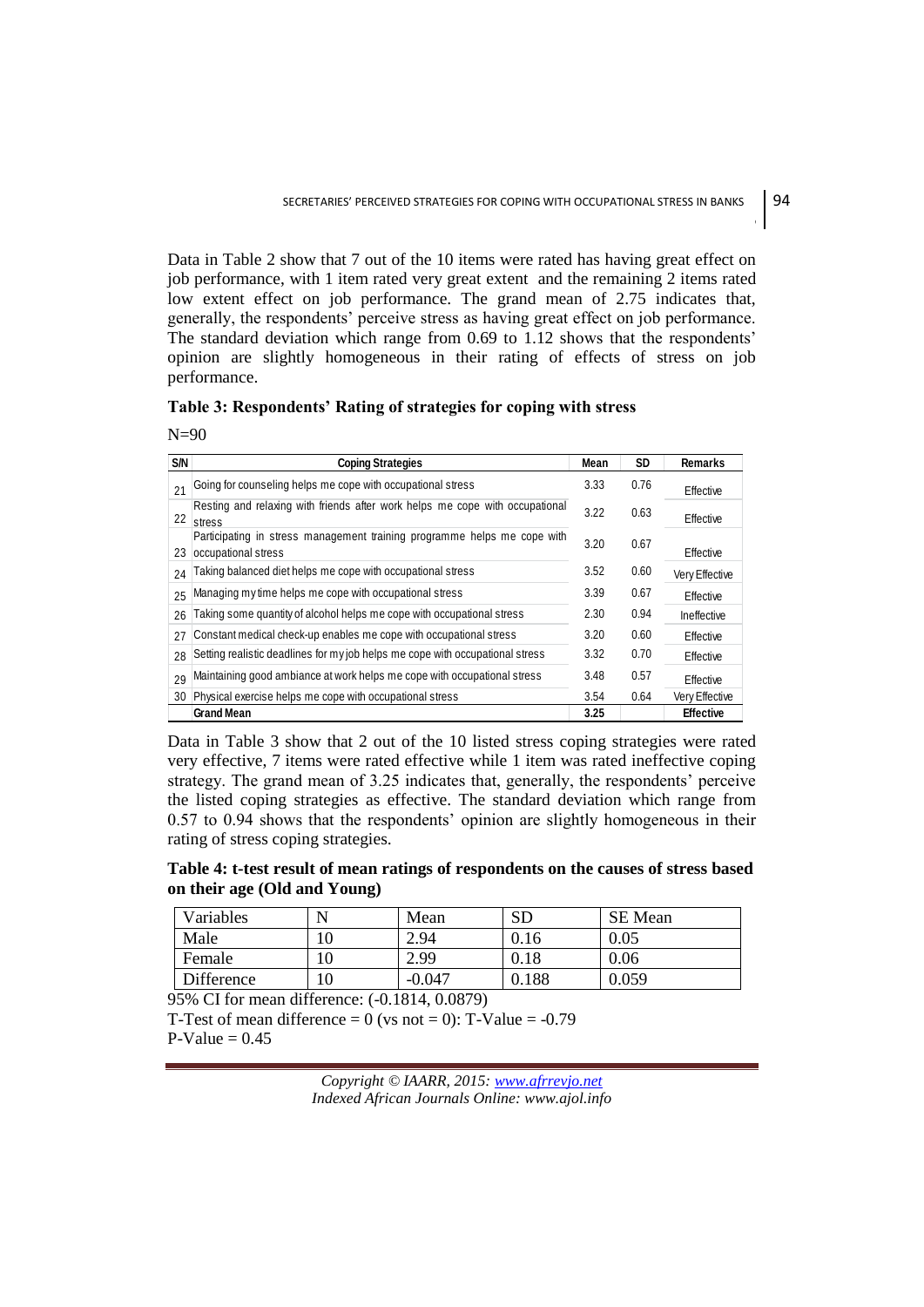94

Data in Table 2 show that 7 out of the 10 items were rated has having great effect on job performance, with 1 item rated very great extent and the remaining 2 items rated low extent effect on job performance. The grand mean of 2.75 indicates that, generally, the respondents' perceive stress as having great effect on job performance. The standard deviation which range from 0.69 to 1.12 shows that the respondents' opinion are slightly homogeneous in their rating of effects of stress on job performance.

|  | Table 3: Respondents' Rating of strategies for coping with stress |
|--|-------------------------------------------------------------------|
|  |                                                                   |

 $N=90$ 

| S/N | <b>Coping Strategies</b>                                                                        | Mean | <b>SD</b> | <b>Remarks</b>   |
|-----|-------------------------------------------------------------------------------------------------|------|-----------|------------------|
| 21  | Going for counseling helps me cope with occupational stress                                     | 3.33 | 0.76      | Effective        |
| 22  | Resting and relaxing with friends after work helps me cope with occupational<br>stress          | 3.22 | 0.63      | Effective        |
| 23  | Participating in stress management training programme helps me cope with<br>occupational stress | 3.20 | 0.67      | Effective        |
| 24  | Taking balanced diet helps me cope with occupational stress                                     | 3.52 | 0.60      | Very Effective   |
| 25  | Managing my time helps me cope with occupational stress                                         | 3.39 | 0.67      | Effective        |
| 26  | Taking some quantity of alcohol helps me cope with occupational stress                          | 2.30 | 0.94      | Ineffective      |
| 27  | Constant medical check-up enables me cope with occupational stress                              | 3.20 | 0.60      | Effective        |
| 28  | Setting realistic deadlines for my job helps me cope with occupational stress                   | 3.32 | 0.70      | Effective        |
| 29  | Maintaining good ambiance at work helps me cope with occupational stress                        | 3.48 | 0.57      | Effective        |
| 30  | Physical exercise helps me cope with occupational stress                                        | 3.54 | 0.64      | Very Effective   |
|     | <b>Grand Mean</b>                                                                               | 3.25 |           | <b>Effective</b> |

Data in Table 3 show that 2 out of the 10 listed stress coping strategies were rated very effective, 7 items were rated effective while 1 item was rated ineffective coping strategy. The grand mean of 3.25 indicates that, generally, the respondents' perceive the listed coping strategies as effective. The standard deviation which range from 0.57 to 0.94 shows that the respondents' opinion are slightly homogeneous in their rating of stress coping strategies.

**Table 4: t-test result of mean ratings of respondents on the causes of stress based on their age (Old and Young)**

| Variables  | N  | Mean     | SD    | <b>SE</b> Mean |
|------------|----|----------|-------|----------------|
| Male       | 10 | 2.94     | 0.16  | 0.05           |
| Female     | 10 | 2.99     | 0.18  | 0.06           |
| Difference | 10 | $-0.047$ | 0.188 | 0.059          |

95% CI for mean difference: (-0.1814, 0.0879)

T-Test of mean difference  $= 0$  (vs not  $= 0$ ): T-Value  $= -0.79$  $P-Value = 0.45$ 

> *Copyright © IAARR, 2015: www.afrrevjo.net Indexed African Journals Online: www.ajol.info*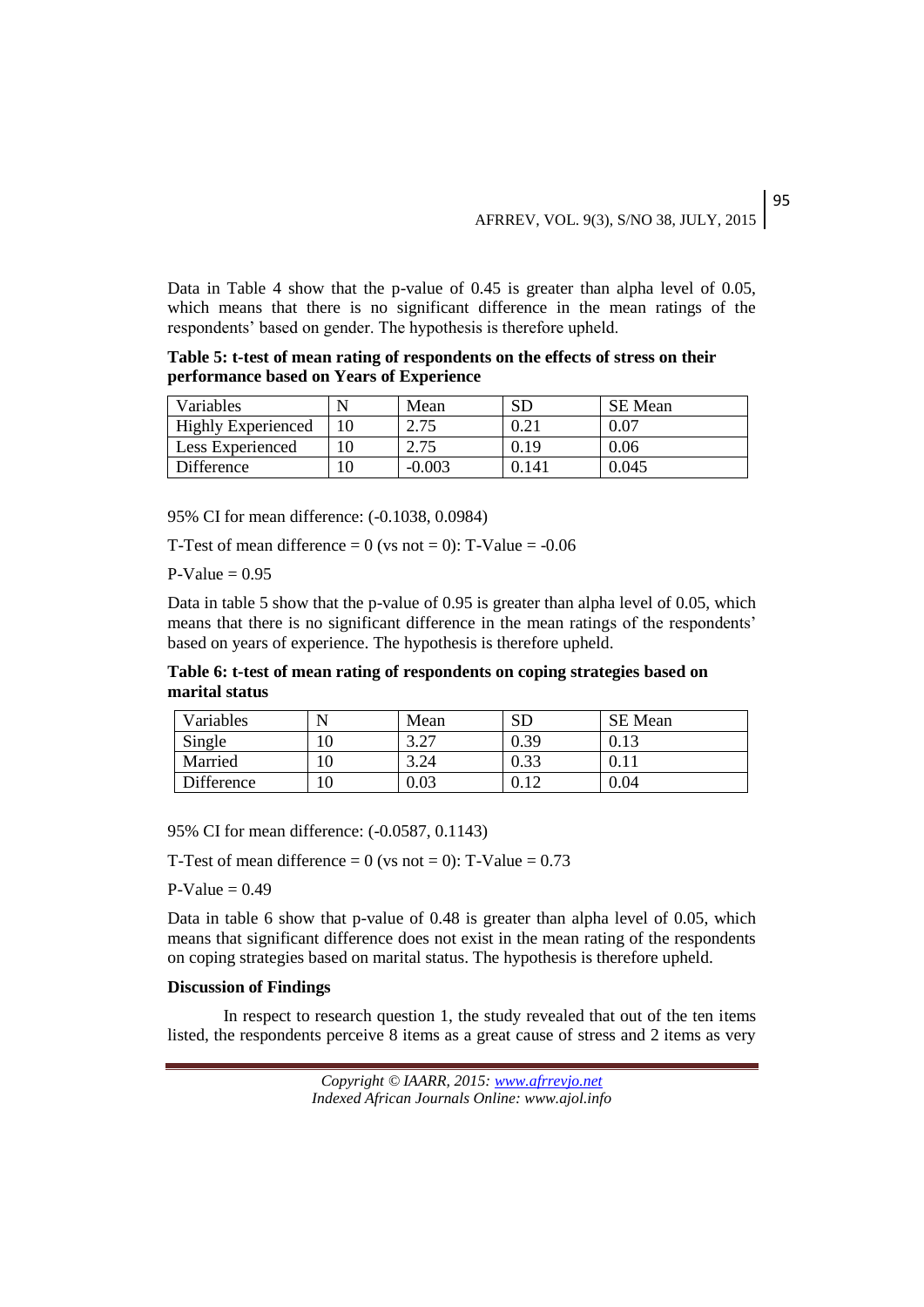Data in Table 4 show that the p-value of 0.45 is greater than alpha level of 0.05, which means that there is no significant difference in the mean ratings of the respondents' based on gender. The hypothesis is therefore upheld.

**Table 5: t-test of mean rating of respondents on the effects of stress on their performance based on Years of Experience**

| Variables                 | Mean     | $_{\rm SD}$ | <b>SE</b> Mean |
|---------------------------|----------|-------------|----------------|
| <b>Highly Experienced</b> | 2.75     |             | 0.07           |
| Less Experienced          | 2.75     | 0.19        | 0.06           |
| Difference                | $-0.003$ | ).141       | 0.045          |

95% CI for mean difference: (-0.1038, 0.0984)

T-Test of mean difference  $= 0$  (vs not  $= 0$ ): T-Value  $= -0.06$ 

 $P-Value = 0.95$ 

Data in table 5 show that the p-value of 0.95 is greater than alpha level of 0.05, which means that there is no significant difference in the mean ratings of the respondents' based on years of experience. The hypothesis is therefore upheld.

**Table 6: t-test of mean rating of respondents on coping strategies based on marital status**

| Variables  | Mean          | SD   | <b>SE</b> Mean |
|------------|---------------|------|----------------|
| Single     | 2.27<br>ے ، ب | 0.39 |                |
| Married    |               | 0.33 |                |
| Difference | $0.03\,$      | 0.12 | 0.04           |

95% CI for mean difference: (-0.0587, 0.1143)

T-Test of mean difference = 0 (vs not = 0): T-Value =  $0.73$ 

 $P-Value = 0.49$ 

Data in table 6 show that p-value of 0.48 is greater than alpha level of 0.05, which means that significant difference does not exist in the mean rating of the respondents on coping strategies based on marital status. The hypothesis is therefore upheld.

#### **Discussion of Findings**

In respect to research question 1, the study revealed that out of the ten items listed, the respondents perceive 8 items as a great cause of stress and 2 items as very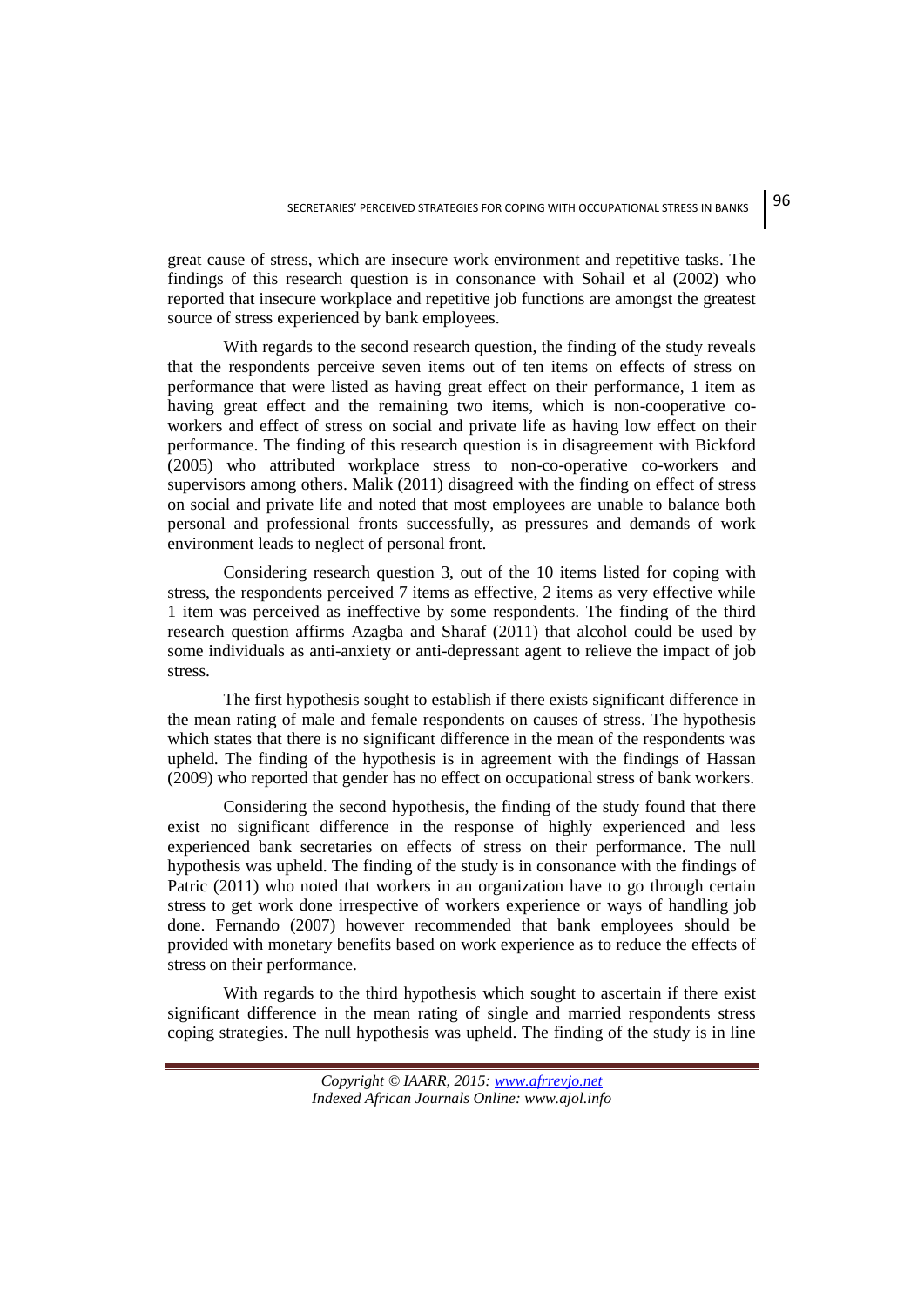great cause of stress, which are insecure work environment and repetitive tasks. The findings of this research question is in consonance with Sohail et al (2002) who reported that insecure workplace and repetitive job functions are amongst the greatest source of stress experienced by bank employees.

With regards to the second research question, the finding of the study reveals that the respondents perceive seven items out of ten items on effects of stress on performance that were listed as having great effect on their performance, 1 item as having great effect and the remaining two items, which is non-cooperative coworkers and effect of stress on social and private life as having low effect on their performance. The finding of this research question is in disagreement with Bickford (2005) who attributed workplace stress to non-co-operative co-workers and supervisors among others. Malik (2011) disagreed with the finding on effect of stress on social and private life and noted that most employees are unable to balance both personal and professional fronts successfully, as pressures and demands of work environment leads to neglect of personal front.

Considering research question 3, out of the 10 items listed for coping with stress, the respondents perceived 7 items as effective, 2 items as very effective while 1 item was perceived as ineffective by some respondents. The finding of the third research question affirms Azagba and Sharaf (2011) that alcohol could be used by some individuals as anti-anxiety or anti-depressant agent to relieve the impact of job stress.

The first hypothesis sought to establish if there exists significant difference in the mean rating of male and female respondents on causes of stress. The hypothesis which states that there is no significant difference in the mean of the respondents was upheld. The finding of the hypothesis is in agreement with the findings of Hassan (2009) who reported that gender has no effect on occupational stress of bank workers.

Considering the second hypothesis, the finding of the study found that there exist no significant difference in the response of highly experienced and less experienced bank secretaries on effects of stress on their performance. The null hypothesis was upheld. The finding of the study is in consonance with the findings of Patric (2011) who noted that workers in an organization have to go through certain stress to get work done irrespective of workers experience or ways of handling job done. Fernando (2007) however recommended that bank employees should be provided with monetary benefits based on work experience as to reduce the effects of stress on their performance.

With regards to the third hypothesis which sought to ascertain if there exist significant difference in the mean rating of single and married respondents stress coping strategies. The null hypothesis was upheld. The finding of the study is in line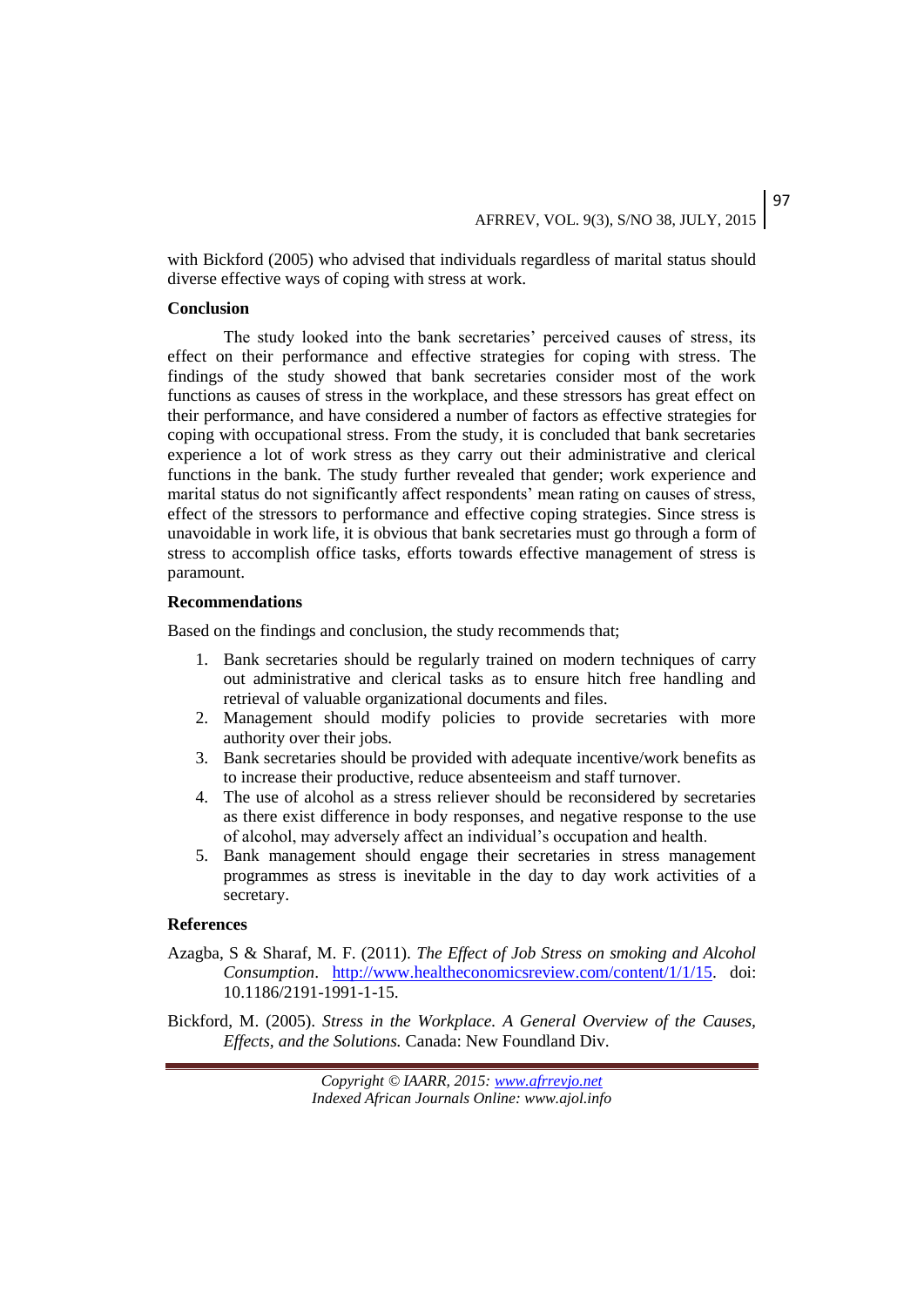with Bickford (2005) who advised that individuals regardless of marital status should diverse effective ways of coping with stress at work.

#### **Conclusion**

The study looked into the bank secretaries' perceived causes of stress, its effect on their performance and effective strategies for coping with stress. The findings of the study showed that bank secretaries consider most of the work functions as causes of stress in the workplace, and these stressors has great effect on their performance, and have considered a number of factors as effective strategies for coping with occupational stress. From the study, it is concluded that bank secretaries experience a lot of work stress as they carry out their administrative and clerical functions in the bank. The study further revealed that gender; work experience and marital status do not significantly affect respondents' mean rating on causes of stress, effect of the stressors to performance and effective coping strategies. Since stress is unavoidable in work life, it is obvious that bank secretaries must go through a form of stress to accomplish office tasks, efforts towards effective management of stress is paramount.

#### **Recommendations**

Based on the findings and conclusion, the study recommends that;

- 1. Bank secretaries should be regularly trained on modern techniques of carry out administrative and clerical tasks as to ensure hitch free handling and retrieval of valuable organizational documents and files.
- 2. Management should modify policies to provide secretaries with more authority over their jobs.
- 3. Bank secretaries should be provided with adequate incentive/work benefits as to increase their productive, reduce absenteeism and staff turnover.
- 4. The use of alcohol as a stress reliever should be reconsidered by secretaries as there exist difference in body responses, and negative response to the use of alcohol, may adversely affect an individual's occupation and health.
- 5. Bank management should engage their secretaries in stress management programmes as stress is inevitable in the day to day work activities of a secretary.

#### **References**

Azagba, S & Sharaf, M. F. (2011). *The Effect of Job Stress on smoking and Alcohol Consumption*. [http://www.healtheconomicsreview.com/content/1/1/15.](http://www.healtheconomicsreview.com/content/1/1/15) doi: 10.1186/2191-1991-1-15.

Bickford, M. (2005). *Stress in the Workplace. A General Overview of the Causes, Effects, and the Solutions.* Canada: New Foundland Div.